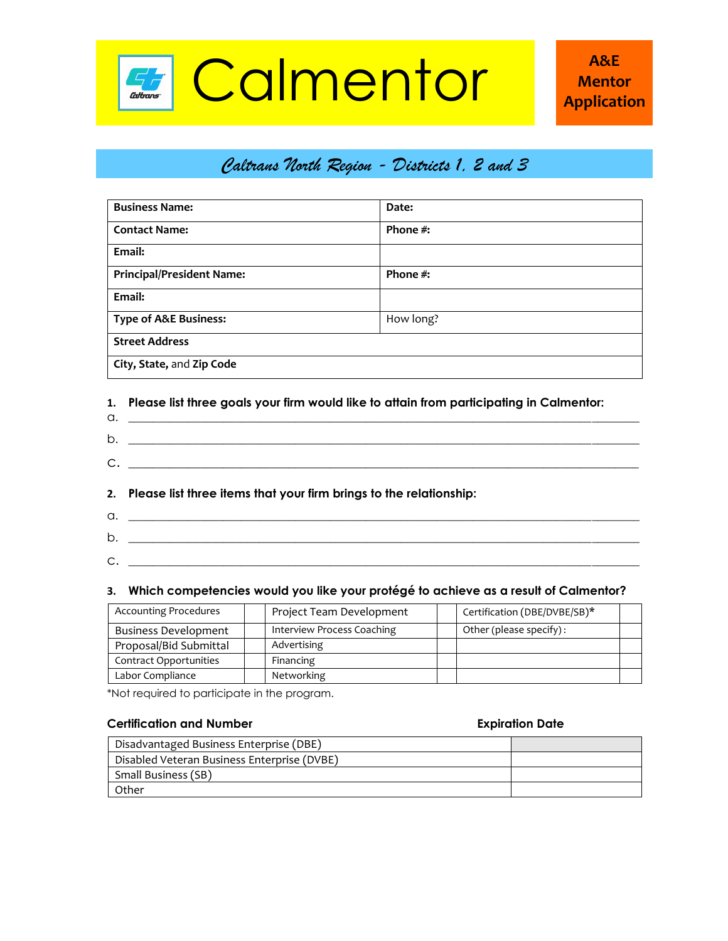

## *Caltrans North Region - Districts 1, 2 and 3*

| <b>Business Name:</b>            | Date:       |  |
|----------------------------------|-------------|--|
| <b>Contact Name:</b>             | Phone #:    |  |
| Email:                           |             |  |
| <b>Principal/President Name:</b> | Phone $#$ : |  |
| Email:                           |             |  |
| <b>Type of A&amp;E Business:</b> | How long?   |  |
| <b>Street Address</b>            |             |  |
| City, State, and Zip Code        |             |  |

### **1. Please list three goals your firm would like to attain from participating in Calmentor:**

| а.      |  |
|---------|--|
| b.      |  |
|         |  |
| ⌒<br>J. |  |

### **2. Please list three items that your firm brings to the relationship:**

 $a.$   $\overline{\phantom{a}}$ b. \_\_\_\_\_\_\_\_\_\_\_\_\_\_\_\_\_\_\_\_\_\_\_\_\_\_\_\_\_\_\_\_\_\_\_\_\_\_\_\_\_\_\_\_\_\_\_\_\_\_\_\_\_\_\_\_\_\_\_\_\_\_\_\_\_\_\_\_\_\_\_\_\_\_\_\_\_\_\_\_\_\_\_\_\_\_ c. \_\_\_\_\_\_\_\_\_\_\_\_\_\_\_\_\_\_\_\_\_\_\_\_\_\_\_\_\_\_\_\_\_\_\_\_\_\_\_\_\_\_\_\_\_\_\_\_\_\_\_\_\_\_\_\_\_\_\_\_\_\_\_\_\_\_\_\_\_\_\_\_\_\_\_\_\_\_\_\_\_\_\_\_\_\_

### **3. Which competencies would you like your protégé to achieve as a result of Calmentor?**

| <b>Accounting Procedures</b> | Project Team Development   | Certification (DBE/DVBE/SB)* |
|------------------------------|----------------------------|------------------------------|
| <b>Business Development</b>  | Interview Process Coaching | Other (please specify):      |
| Proposal/Bid Submittal       | Advertising                |                              |
| Contract Opportunities       | Financing                  |                              |
| Labor Compliance             | Networking                 |                              |

\*Not required to participate in the program.

### **Certification and Number Expiration Date**

| Disadvantaged Business Enterprise (DBE)     |  |
|---------------------------------------------|--|
| Disabled Veteran Business Enterprise (DVBE) |  |
| Small Business (SB)                         |  |
| Other                                       |  |